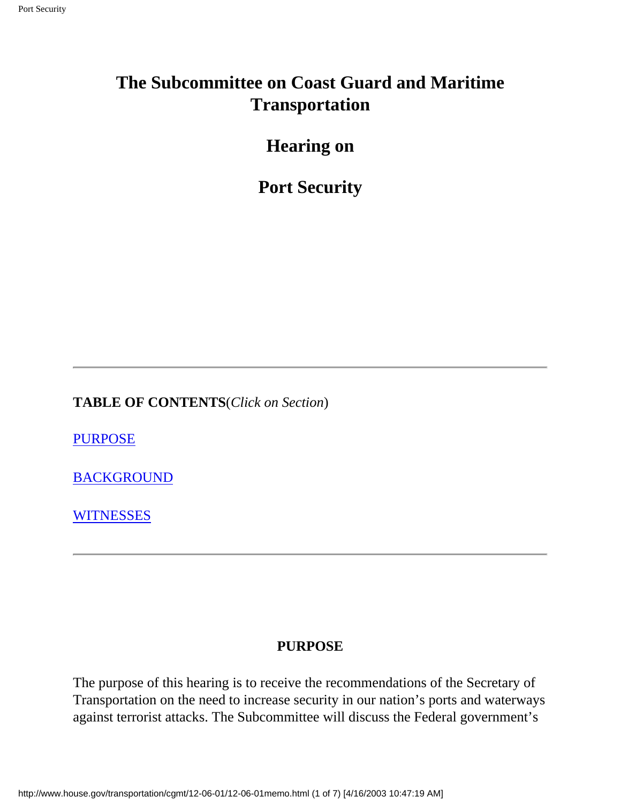## **The Subcommittee on Coast Guard and Maritime Transportation**

**Hearing on**

**Port Security**

**TABLE OF CONTENTS**(*Click on Section*)

**[PURPOSE](#page-0-0)** 

[BACKGROUND](#page-1-0)

**[WITNESSES](#page-6-0)** 

#### **PURPOSE**

<span id="page-0-0"></span>The purpose of this hearing is to receive the recommendations of the Secretary of Transportation on the need to increase security in our nation's ports and waterways against terrorist attacks. The Subcommittee will discuss the Federal government's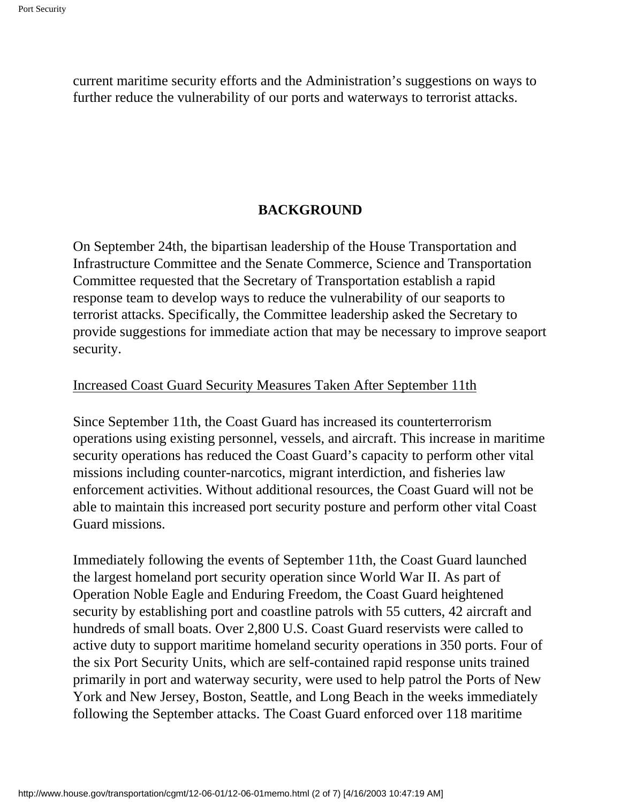current maritime security efforts and the Administration's suggestions on ways to further reduce the vulnerability of our ports and waterways to terrorist attacks.

#### **BACKGROUND**

<span id="page-1-0"></span>On September 24th, the bipartisan leadership of the House Transportation and Infrastructure Committee and the Senate Commerce, Science and Transportation Committee requested that the Secretary of Transportation establish a rapid response team to develop ways to reduce the vulnerability of our seaports to terrorist attacks. Specifically, the Committee leadership asked the Secretary to provide suggestions for immediate action that may be necessary to improve seaport security.

#### Increased Coast Guard Security Measures Taken After September 11th

Since September 11th, the Coast Guard has increased its counterterrorism operations using existing personnel, vessels, and aircraft. This increase in maritime security operations has reduced the Coast Guard's capacity to perform other vital missions including counter-narcotics, migrant interdiction, and fisheries law enforcement activities. Without additional resources, the Coast Guard will not be able to maintain this increased port security posture and perform other vital Coast Guard missions.

Immediately following the events of September 11th, the Coast Guard launched the largest homeland port security operation since World War II. As part of Operation Noble Eagle and Enduring Freedom, the Coast Guard heightened security by establishing port and coastline patrols with 55 cutters, 42 aircraft and hundreds of small boats. Over 2,800 U.S. Coast Guard reservists were called to active duty to support maritime homeland security operations in 350 ports. Four of the six Port Security Units, which are self-contained rapid response units trained primarily in port and waterway security, were used to help patrol the Ports of New York and New Jersey, Boston, Seattle, and Long Beach in the weeks immediately following the September attacks. The Coast Guard enforced over 118 maritime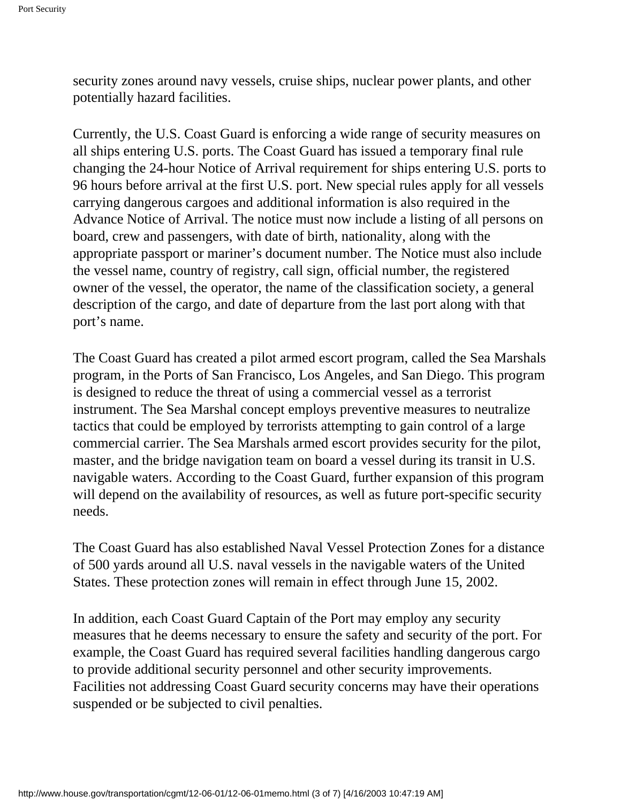security zones around navy vessels, cruise ships, nuclear power plants, and other potentially hazard facilities.

Currently, the U.S. Coast Guard is enforcing a wide range of security measures on all ships entering U.S. ports. The Coast Guard has issued a temporary final rule changing the 24-hour Notice of Arrival requirement for ships entering U.S. ports to 96 hours before arrival at the first U.S. port. New special rules apply for all vessels carrying dangerous cargoes and additional information is also required in the Advance Notice of Arrival. The notice must now include a listing of all persons on board, crew and passengers, with date of birth, nationality, along with the appropriate passport or mariner's document number. The Notice must also include the vessel name, country of registry, call sign, official number, the registered owner of the vessel, the operator, the name of the classification society, a general description of the cargo, and date of departure from the last port along with that port's name.

The Coast Guard has created a pilot armed escort program, called the Sea Marshals program, in the Ports of San Francisco, Los Angeles, and San Diego. This program is designed to reduce the threat of using a commercial vessel as a terrorist instrument. The Sea Marshal concept employs preventive measures to neutralize tactics that could be employed by terrorists attempting to gain control of a large commercial carrier. The Sea Marshals armed escort provides security for the pilot, master, and the bridge navigation team on board a vessel during its transit in U.S. navigable waters. According to the Coast Guard, further expansion of this program will depend on the availability of resources, as well as future port-specific security needs.

The Coast Guard has also established Naval Vessel Protection Zones for a distance of 500 yards around all U.S. naval vessels in the navigable waters of the United States. These protection zones will remain in effect through June 15, 2002.

In addition, each Coast Guard Captain of the Port may employ any security measures that he deems necessary to ensure the safety and security of the port. For example, the Coast Guard has required several facilities handling dangerous cargo to provide additional security personnel and other security improvements. Facilities not addressing Coast Guard security concerns may have their operations suspended or be subjected to civil penalties.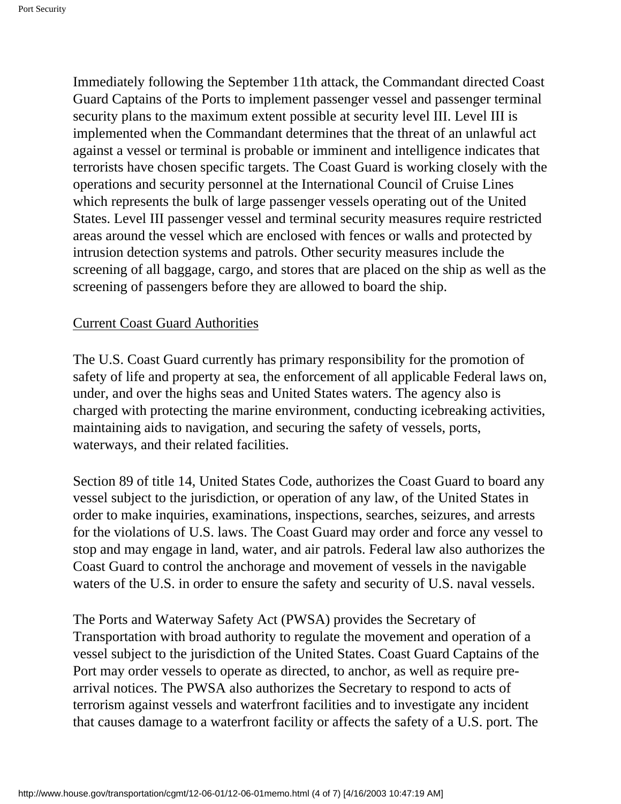Immediately following the September 11th attack, the Commandant directed Coast Guard Captains of the Ports to implement passenger vessel and passenger terminal security plans to the maximum extent possible at security level III. Level III is implemented when the Commandant determines that the threat of an unlawful act against a vessel or terminal is probable or imminent and intelligence indicates that terrorists have chosen specific targets. The Coast Guard is working closely with the operations and security personnel at the International Council of Cruise Lines which represents the bulk of large passenger vessels operating out of the United States. Level III passenger vessel and terminal security measures require restricted areas around the vessel which are enclosed with fences or walls and protected by intrusion detection systems and patrols. Other security measures include the screening of all baggage, cargo, and stores that are placed on the ship as well as the screening of passengers before they are allowed to board the ship.

#### Current Coast Guard Authorities

The U.S. Coast Guard currently has primary responsibility for the promotion of safety of life and property at sea, the enforcement of all applicable Federal laws on, under, and over the highs seas and United States waters. The agency also is charged with protecting the marine environment, conducting icebreaking activities, maintaining aids to navigation, and securing the safety of vessels, ports, waterways, and their related facilities.

Section 89 of title 14, United States Code, authorizes the Coast Guard to board any vessel subject to the jurisdiction, or operation of any law, of the United States in order to make inquiries, examinations, inspections, searches, seizures, and arrests for the violations of U.S. laws. The Coast Guard may order and force any vessel to stop and may engage in land, water, and air patrols. Federal law also authorizes the Coast Guard to control the anchorage and movement of vessels in the navigable waters of the U.S. in order to ensure the safety and security of U.S. naval vessels.

The Ports and Waterway Safety Act (PWSA) provides the Secretary of Transportation with broad authority to regulate the movement and operation of a vessel subject to the jurisdiction of the United States. Coast Guard Captains of the Port may order vessels to operate as directed, to anchor, as well as require prearrival notices. The PWSA also authorizes the Secretary to respond to acts of terrorism against vessels and waterfront facilities and to investigate any incident that causes damage to a waterfront facility or affects the safety of a U.S. port. The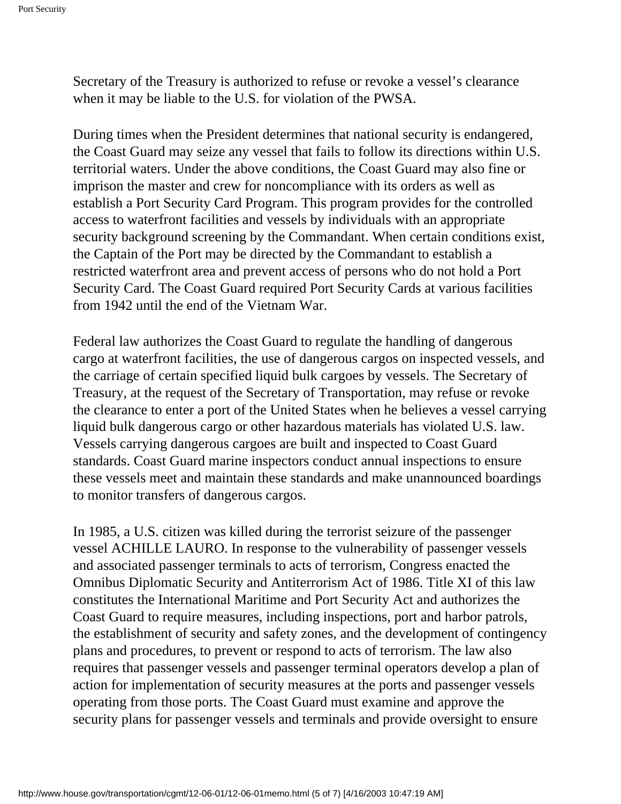Secretary of the Treasury is authorized to refuse or revoke a vessel's clearance when it may be liable to the U.S. for violation of the PWSA.

During times when the President determines that national security is endangered, the Coast Guard may seize any vessel that fails to follow its directions within U.S. territorial waters. Under the above conditions, the Coast Guard may also fine or imprison the master and crew for noncompliance with its orders as well as establish a Port Security Card Program. This program provides for the controlled access to waterfront facilities and vessels by individuals with an appropriate security background screening by the Commandant. When certain conditions exist, the Captain of the Port may be directed by the Commandant to establish a restricted waterfront area and prevent access of persons who do not hold a Port Security Card. The Coast Guard required Port Security Cards at various facilities from 1942 until the end of the Vietnam War.

Federal law authorizes the Coast Guard to regulate the handling of dangerous cargo at waterfront facilities, the use of dangerous cargos on inspected vessels, and the carriage of certain specified liquid bulk cargoes by vessels. The Secretary of Treasury, at the request of the Secretary of Transportation, may refuse or revoke the clearance to enter a port of the United States when he believes a vessel carrying liquid bulk dangerous cargo or other hazardous materials has violated U.S. law. Vessels carrying dangerous cargoes are built and inspected to Coast Guard standards. Coast Guard marine inspectors conduct annual inspections to ensure these vessels meet and maintain these standards and make unannounced boardings to monitor transfers of dangerous cargos.

In 1985, a U.S. citizen was killed during the terrorist seizure of the passenger vessel ACHILLE LAURO. In response to the vulnerability of passenger vessels and associated passenger terminals to acts of terrorism, Congress enacted the Omnibus Diplomatic Security and Antiterrorism Act of 1986. Title XI of this law constitutes the International Maritime and Port Security Act and authorizes the Coast Guard to require measures, including inspections, port and harbor patrols, the establishment of security and safety zones, and the development of contingency plans and procedures, to prevent or respond to acts of terrorism. The law also requires that passenger vessels and passenger terminal operators develop a plan of action for implementation of security measures at the ports and passenger vessels operating from those ports. The Coast Guard must examine and approve the security plans for passenger vessels and terminals and provide oversight to ensure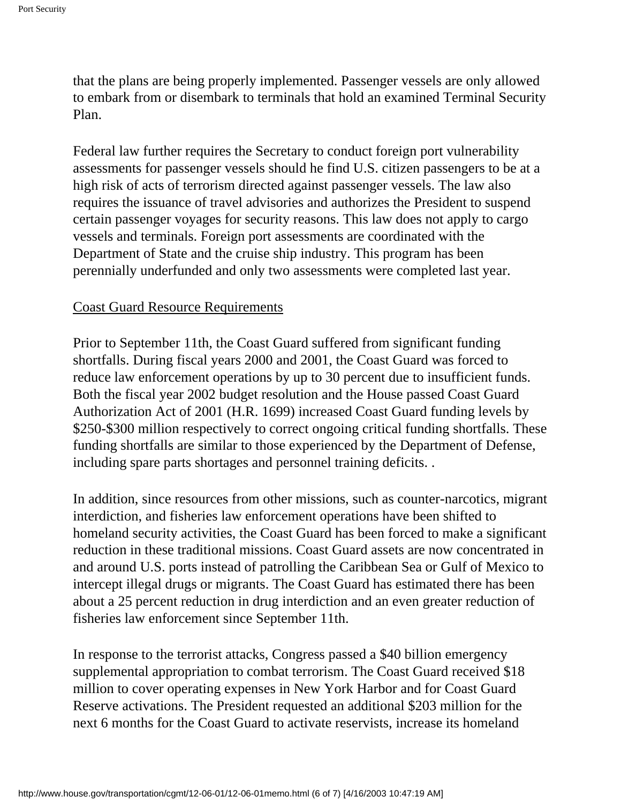that the plans are being properly implemented. Passenger vessels are only allowed to embark from or disembark to terminals that hold an examined Terminal Security Plan.

Federal law further requires the Secretary to conduct foreign port vulnerability assessments for passenger vessels should he find U.S. citizen passengers to be at a high risk of acts of terrorism directed against passenger vessels. The law also requires the issuance of travel advisories and authorizes the President to suspend certain passenger voyages for security reasons. This law does not apply to cargo vessels and terminals. Foreign port assessments are coordinated with the Department of State and the cruise ship industry. This program has been perennially underfunded and only two assessments were completed last year.

#### Coast Guard Resource Requirements

Prior to September 11th, the Coast Guard suffered from significant funding shortfalls. During fiscal years 2000 and 2001, the Coast Guard was forced to reduce law enforcement operations by up to 30 percent due to insufficient funds. Both the fiscal year 2002 budget resolution and the House passed Coast Guard Authorization Act of 2001 (H.R. 1699) increased Coast Guard funding levels by \$250-\$300 million respectively to correct ongoing critical funding shortfalls. These funding shortfalls are similar to those experienced by the Department of Defense, including spare parts shortages and personnel training deficits. .

In addition, since resources from other missions, such as counter-narcotics, migrant interdiction, and fisheries law enforcement operations have been shifted to homeland security activities, the Coast Guard has been forced to make a significant reduction in these traditional missions. Coast Guard assets are now concentrated in and around U.S. ports instead of patrolling the Caribbean Sea or Gulf of Mexico to intercept illegal drugs or migrants. The Coast Guard has estimated there has been about a 25 percent reduction in drug interdiction and an even greater reduction of fisheries law enforcement since September 11th.

In response to the terrorist attacks, Congress passed a \$40 billion emergency supplemental appropriation to combat terrorism. The Coast Guard received \$18 million to cover operating expenses in New York Harbor and for Coast Guard Reserve activations. The President requested an additional \$203 million for the next 6 months for the Coast Guard to activate reservists, increase its homeland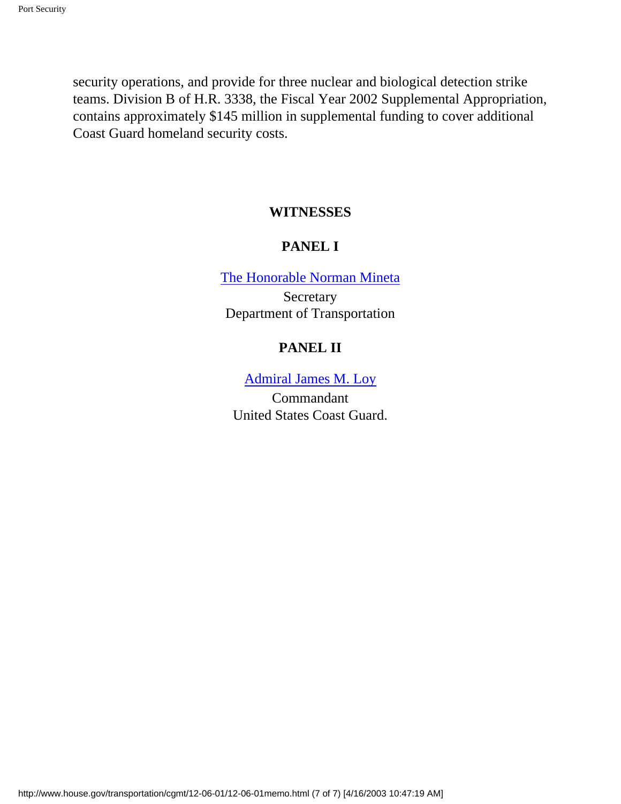<span id="page-6-0"></span>security operations, and provide for three nuclear and biological detection strike teams. Division B of H.R. 3338, the Fiscal Year 2002 Supplemental Appropriation, contains approximately \$145 million in supplemental funding to cover additional Coast Guard homeland security costs.

#### **WITNESSES**

#### **PANEL I**

[The Honorable Norman Mineta](#page-7-0)

Secretary Department of Transportation

#### **PANEL II**

[Admiral James M. Loy](#page-21-0)

Commandant United States Coast Guard.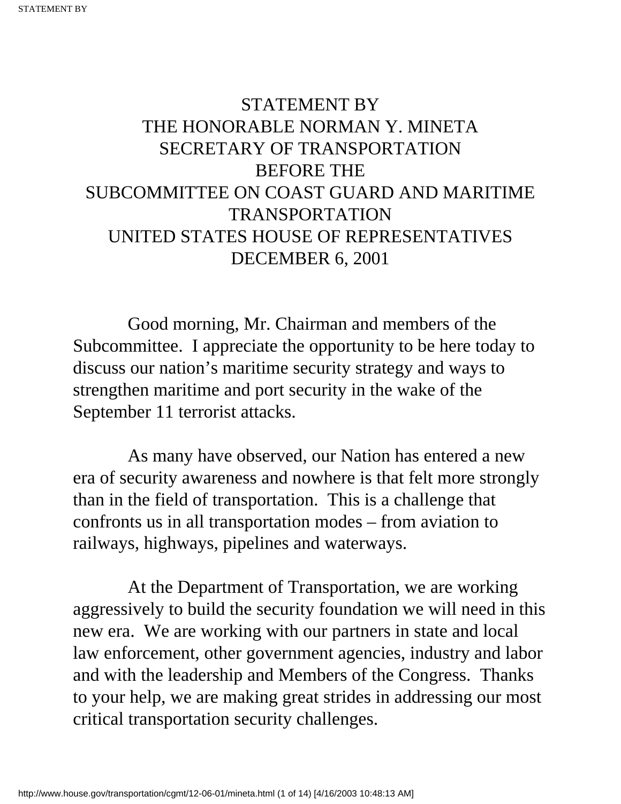# <span id="page-7-0"></span>STATEMENT BY THE HONORABLE NORMAN Y. MINETA SECRETARY OF TRANSPORTATION BEFORE THE SUBCOMMITTEE ON COAST GUARD AND MARITIME TRANSPORTATION UNITED STATES HOUSE OF REPRESENTATIVES DECEMBER 6, 2001

 Good morning, Mr. Chairman and members of the Subcommittee. I appreciate the opportunity to be here today to discuss our nation's maritime security strategy and ways to strengthen maritime and port security in the wake of the September 11 terrorist attacks.

 As many have observed, our Nation has entered a new era of security awareness and nowhere is that felt more strongly than in the field of transportation. This is a challenge that confronts us in all transportation modes – from aviation to railways, highways, pipelines and waterways.

 At the Department of Transportation, we are working aggressively to build the security foundation we will need in this new era. We are working with our partners in state and local law enforcement, other government agencies, industry and labor and with the leadership and Members of the Congress. Thanks to your help, we are making great strides in addressing our most critical transportation security challenges.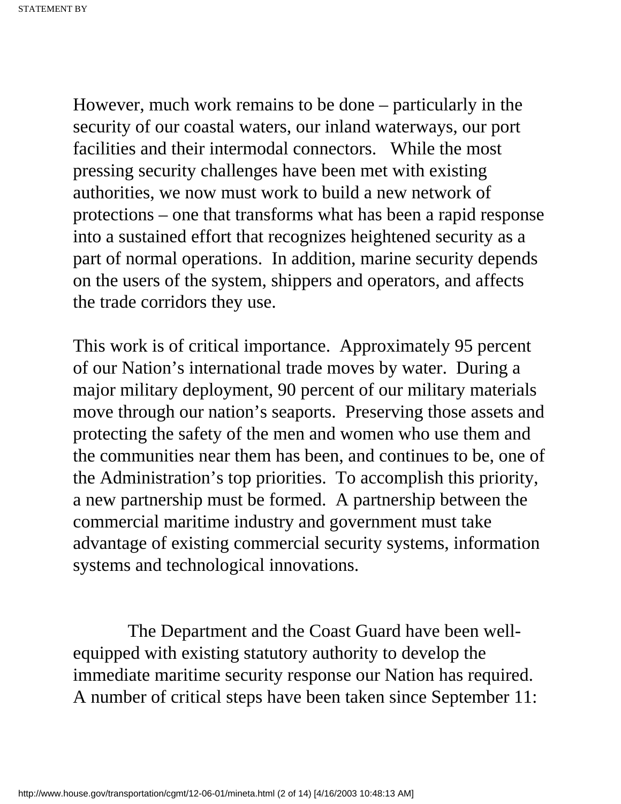However, much work remains to be done – particularly in the security of our coastal waters, our inland waterways, our port facilities and their intermodal connectors. While the most pressing security challenges have been met with existing authorities, we now must work to build a new network of protections – one that transforms what has been a rapid response into a sustained effort that recognizes heightened security as a part of normal operations. In addition, marine security depends on the users of the system, shippers and operators, and affects the trade corridors they use.

This work is of critical importance. Approximately 95 percent of our Nation's international trade moves by water. During a major military deployment, 90 percent of our military materials move through our nation's seaports. Preserving those assets and protecting the safety of the men and women who use them and the communities near them has been, and continues to be, one of the Administration's top priorities. To accomplish this priority, a new partnership must be formed. A partnership between the commercial maritime industry and government must take advantage of existing commercial security systems, information systems and technological innovations.

 The Department and the Coast Guard have been wellequipped with existing statutory authority to develop the immediate maritime security response our Nation has required. A number of critical steps have been taken since September 11: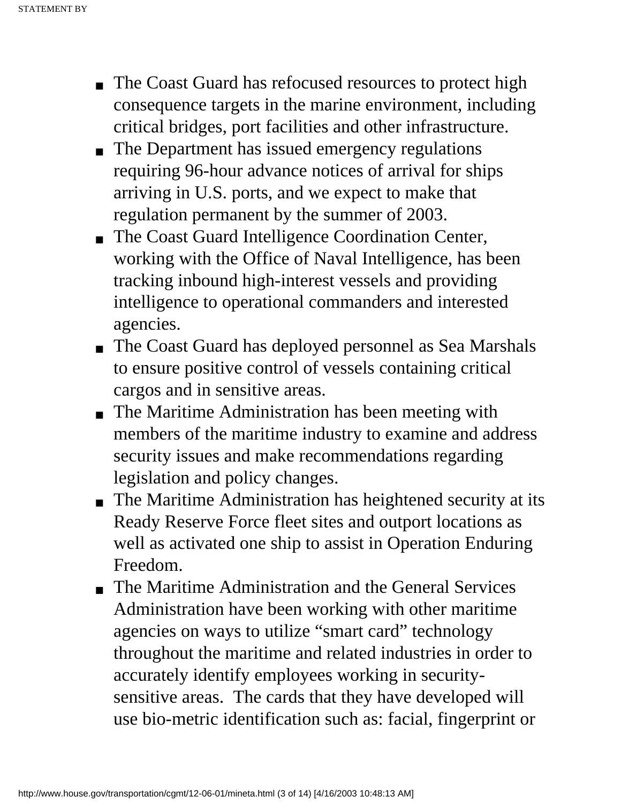- The Coast Guard has refocused resources to protect high consequence targets in the marine environment, including critical bridges, port facilities and other infrastructure.
- The Department has issued emergency regulations requiring 96-hour advance notices of arrival for ships arriving in U.S. ports, and we expect to make that regulation permanent by the summer of 2003.
- The Coast Guard Intelligence Coordination Center, working with the Office of Naval Intelligence, has been tracking inbound high-interest vessels and providing intelligence to operational commanders and interested agencies.
- The Coast Guard has deployed personnel as Sea Marshals to ensure positive control of vessels containing critical cargos and in sensitive areas.
- The Maritime Administration has been meeting with members of the maritime industry to examine and address security issues and make recommendations regarding legislation and policy changes.
- The Maritime Administration has heightened security at its Ready Reserve Force fleet sites and outport locations as well as activated one ship to assist in Operation Enduring Freedom.
- The Maritime Administration and the General Services Administration have been working with other maritime agencies on ways to utilize "smart card" technology throughout the maritime and related industries in order to accurately identify employees working in securitysensitive areas. The cards that they have developed will use bio-metric identification such as: facial, fingerprint or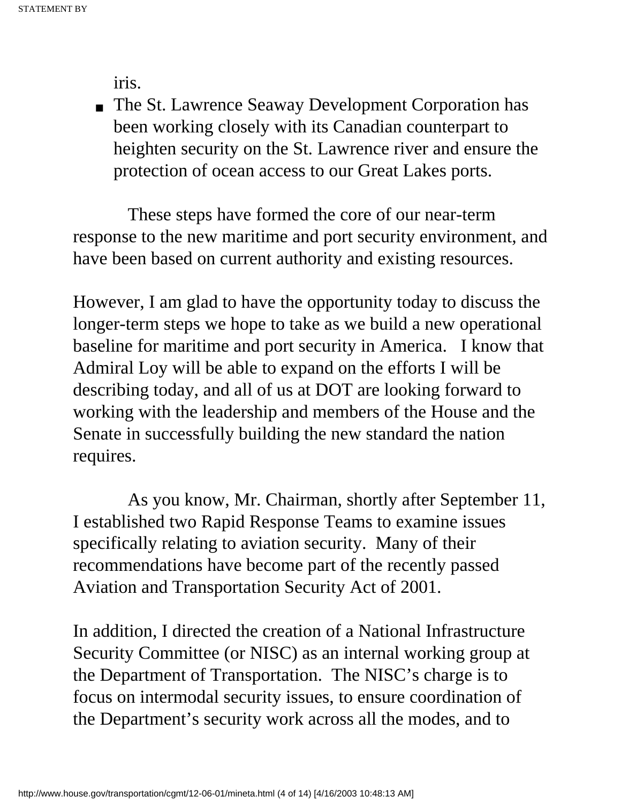iris.

■ The St. Lawrence Seaway Development Corporation has been working closely with its Canadian counterpart to heighten security on the St. Lawrence river and ensure the protection of ocean access to our Great Lakes ports.

 These steps have formed the core of our near-term response to the new maritime and port security environment, and have been based on current authority and existing resources.

However, I am glad to have the opportunity today to discuss the longer-term steps we hope to take as we build a new operational baseline for maritime and port security in America. I know that Admiral Loy will be able to expand on the efforts I will be describing today, and all of us at DOT are looking forward to working with the leadership and members of the House and the Senate in successfully building the new standard the nation requires.

 As you know, Mr. Chairman, shortly after September 11, I established two Rapid Response Teams to examine issues specifically relating to aviation security. Many of their recommendations have become part of the recently passed Aviation and Transportation Security Act of 2001.

In addition, I directed the creation of a National Infrastructure Security Committee (or NISC) as an internal working group at the Department of Transportation. The NISC's charge is to focus on intermodal security issues, to ensure coordination of the Department's security work across all the modes, and to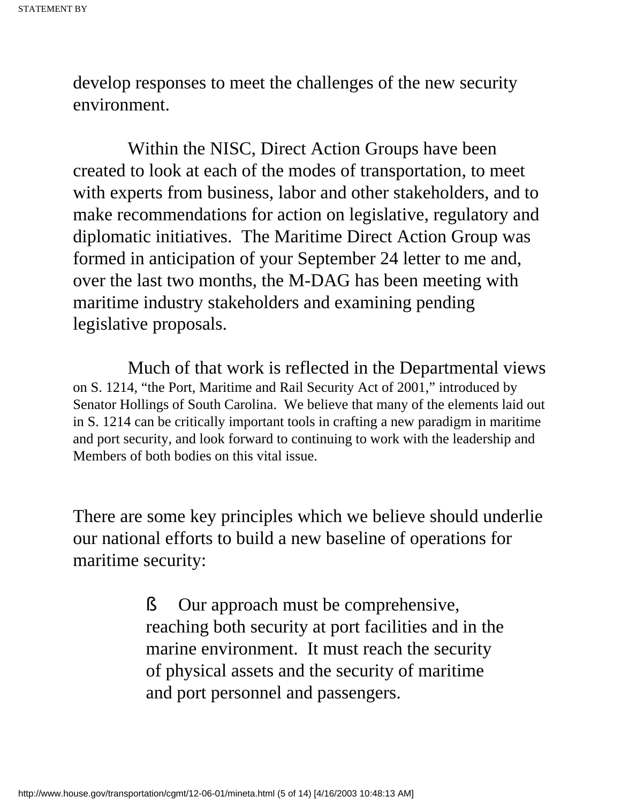develop responses to meet the challenges of the new security environment.

 Within the NISC, Direct Action Groups have been created to look at each of the modes of transportation, to meet with experts from business, labor and other stakeholders, and to make recommendations for action on legislative, regulatory and diplomatic initiatives. The Maritime Direct Action Group was formed in anticipation of your September 24 letter to me and, over the last two months, the M-DAG has been meeting with maritime industry stakeholders and examining pending legislative proposals.

 Much of that work is reflected in the Departmental views on S. 1214, "the Port, Maritime and Rail Security Act of 2001," introduced by Senator Hollings of South Carolina. We believe that many of the elements laid out in S. 1214 can be critically important tools in crafting a new paradigm in maritime and port security, and look forward to continuing to work with the leadership and Members of both bodies on this vital issue.

There are some key principles which we believe should underlie our national efforts to build a new baseline of operations for maritime security:

> § Our approach must be comprehensive, reaching both security at port facilities and in the marine environment. It must reach the security of physical assets and the security of maritime and port personnel and passengers.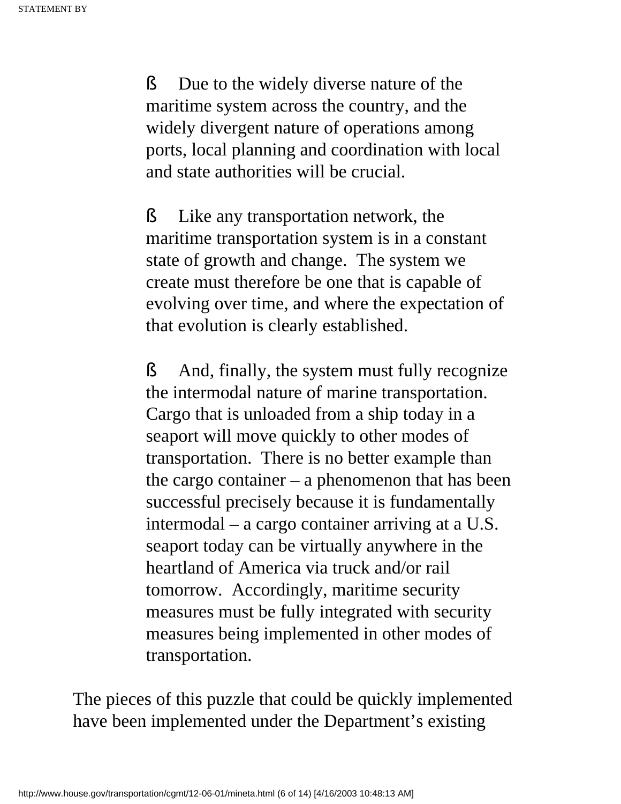§ Due to the widely diverse nature of the maritime system across the country, and the widely divergent nature of operations among ports, local planning and coordination with local and state authorities will be crucial.

§ Like any transportation network, the maritime transportation system is in a constant state of growth and change. The system we create must therefore be one that is capable of evolving over time, and where the expectation of that evolution is clearly established.

§ And, finally, the system must fully recognize the intermodal nature of marine transportation. Cargo that is unloaded from a ship today in a seaport will move quickly to other modes of transportation. There is no better example than the cargo container  $-$  a phenomenon that has been successful precisely because it is fundamentally intermodal – a cargo container arriving at a U.S. seaport today can be virtually anywhere in the heartland of America via truck and/or rail tomorrow. Accordingly, maritime security measures must be fully integrated with security measures being implemented in other modes of transportation.

The pieces of this puzzle that could be quickly implemented have been implemented under the Department's existing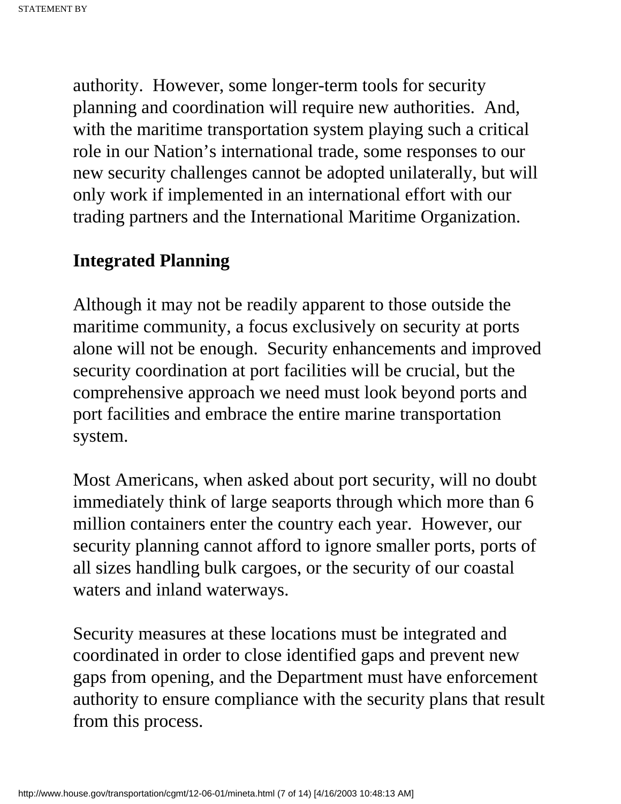authority. However, some longer-term tools for security planning and coordination will require new authorities. And, with the maritime transportation system playing such a critical role in our Nation's international trade, some responses to our new security challenges cannot be adopted unilaterally, but will only work if implemented in an international effort with our trading partners and the International Maritime Organization.

### **Integrated Planning**

Although it may not be readily apparent to those outside the maritime community, a focus exclusively on security at ports alone will not be enough. Security enhancements and improved security coordination at port facilities will be crucial, but the comprehensive approach we need must look beyond ports and port facilities and embrace the entire marine transportation system.

Most Americans, when asked about port security, will no doubt immediately think of large seaports through which more than 6 million containers enter the country each year. However, our security planning cannot afford to ignore smaller ports, ports of all sizes handling bulk cargoes, or the security of our coastal waters and inland waterways.

Security measures at these locations must be integrated and coordinated in order to close identified gaps and prevent new gaps from opening, and the Department must have enforcement authority to ensure compliance with the security plans that result from this process.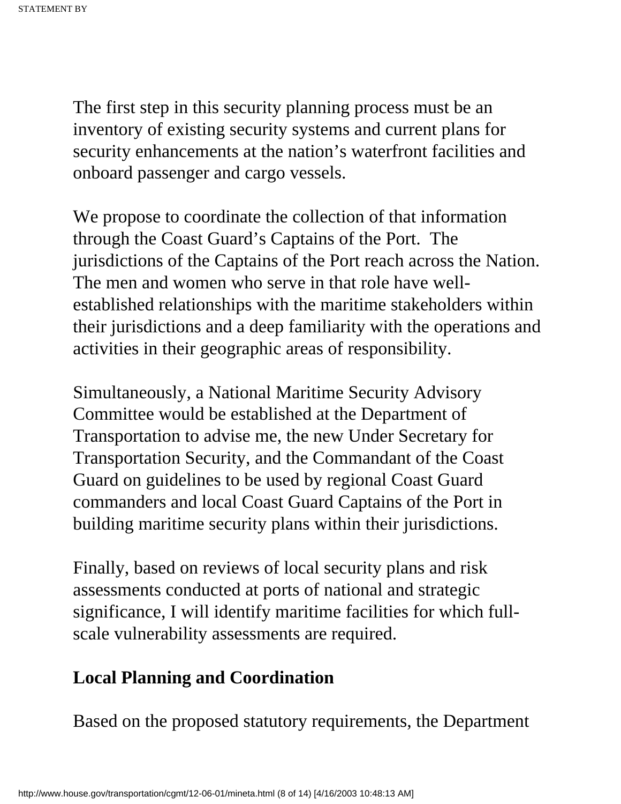The first step in this security planning process must be an inventory of existing security systems and current plans for security enhancements at the nation's waterfront facilities and onboard passenger and cargo vessels.

We propose to coordinate the collection of that information through the Coast Guard's Captains of the Port. The jurisdictions of the Captains of the Port reach across the Nation. The men and women who serve in that role have wellestablished relationships with the maritime stakeholders within their jurisdictions and a deep familiarity with the operations and activities in their geographic areas of responsibility.

Simultaneously, a National Maritime Security Advisory Committee would be established at the Department of Transportation to advise me, the new Under Secretary for Transportation Security, and the Commandant of the Coast Guard on guidelines to be used by regional Coast Guard commanders and local Coast Guard Captains of the Port in building maritime security plans within their jurisdictions.

Finally, based on reviews of local security plans and risk assessments conducted at ports of national and strategic significance, I will identify maritime facilities for which fullscale vulnerability assessments are required.

## **Local Planning and Coordination**

Based on the proposed statutory requirements, the Department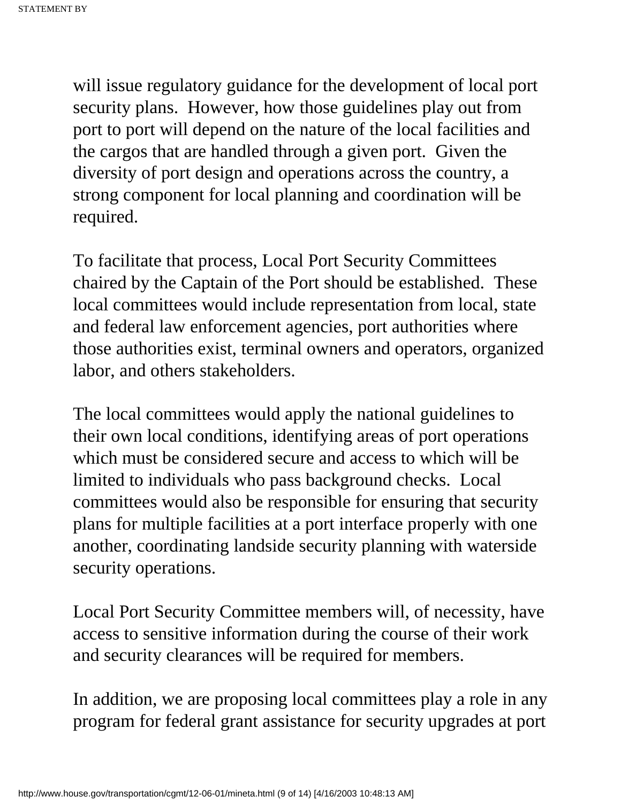will issue regulatory guidance for the development of local port security plans. However, how those guidelines play out from port to port will depend on the nature of the local facilities and the cargos that are handled through a given port. Given the diversity of port design and operations across the country, a strong component for local planning and coordination will be required.

To facilitate that process, Local Port Security Committees chaired by the Captain of the Port should be established. These local committees would include representation from local, state and federal law enforcement agencies, port authorities where those authorities exist, terminal owners and operators, organized labor, and others stakeholders.

The local committees would apply the national guidelines to their own local conditions, identifying areas of port operations which must be considered secure and access to which will be limited to individuals who pass background checks. Local committees would also be responsible for ensuring that security plans for multiple facilities at a port interface properly with one another, coordinating landside security planning with waterside security operations.

Local Port Security Committee members will, of necessity, have access to sensitive information during the course of their work and security clearances will be required for members.

In addition, we are proposing local committees play a role in any program for federal grant assistance for security upgrades at port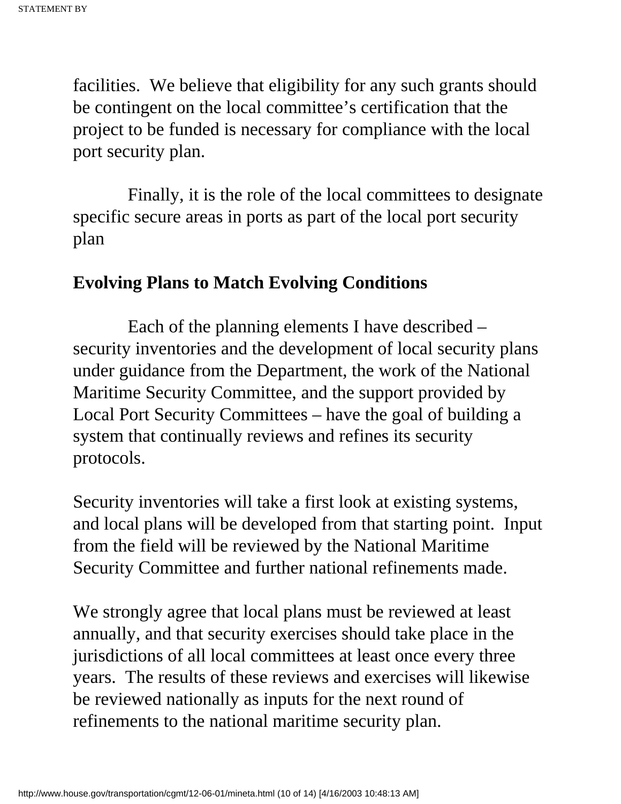facilities. We believe that eligibility for any such grants should be contingent on the local committee's certification that the project to be funded is necessary for compliance with the local port security plan.

 Finally, it is the role of the local committees to designate specific secure areas in ports as part of the local port security plan

### **Evolving Plans to Match Evolving Conditions**

 Each of the planning elements I have described – security inventories and the development of local security plans under guidance from the Department, the work of the National Maritime Security Committee, and the support provided by Local Port Security Committees – have the goal of building a system that continually reviews and refines its security protocols.

Security inventories will take a first look at existing systems, and local plans will be developed from that starting point. Input from the field will be reviewed by the National Maritime Security Committee and further national refinements made.

We strongly agree that local plans must be reviewed at least annually, and that security exercises should take place in the jurisdictions of all local committees at least once every three years. The results of these reviews and exercises will likewise be reviewed nationally as inputs for the next round of refinements to the national maritime security plan.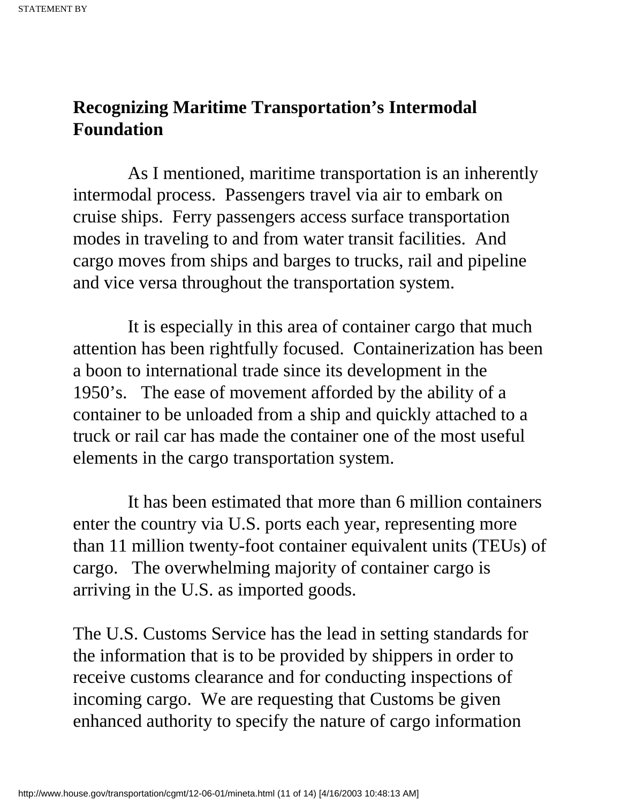## **Recognizing Maritime Transportation's Intermodal Foundation**

 As I mentioned, maritime transportation is an inherently intermodal process. Passengers travel via air to embark on cruise ships. Ferry passengers access surface transportation modes in traveling to and from water transit facilities. And cargo moves from ships and barges to trucks, rail and pipeline and vice versa throughout the transportation system.

 It is especially in this area of container cargo that much attention has been rightfully focused. Containerization has been a boon to international trade since its development in the 1950's. The ease of movement afforded by the ability of a container to be unloaded from a ship and quickly attached to a truck or rail car has made the container one of the most useful elements in the cargo transportation system.

 It has been estimated that more than 6 million containers enter the country via U.S. ports each year, representing more than 11 million twenty-foot container equivalent units (TEUs) of cargo. The overwhelming majority of container cargo is arriving in the U.S. as imported goods.

The U.S. Customs Service has the lead in setting standards for the information that is to be provided by shippers in order to receive customs clearance and for conducting inspections of incoming cargo. We are requesting that Customs be given enhanced authority to specify the nature of cargo information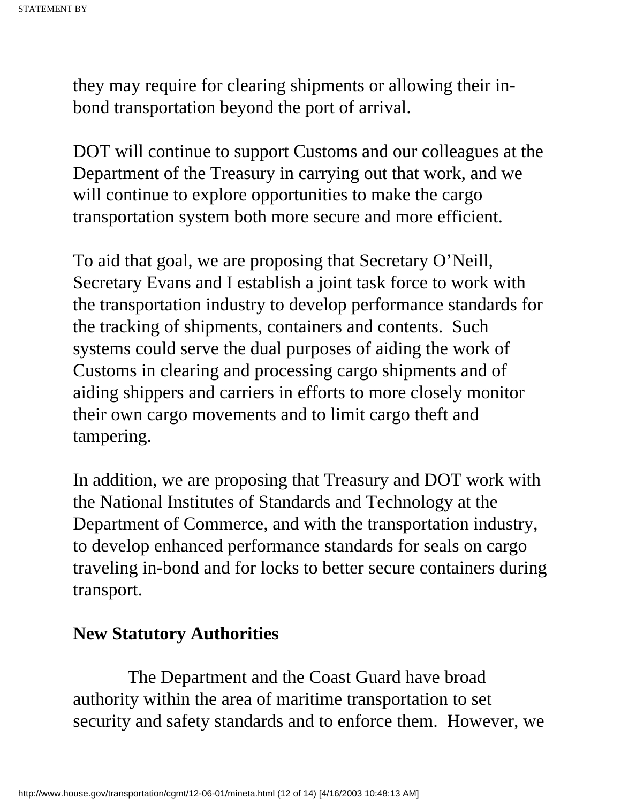they may require for clearing shipments or allowing their inbond transportation beyond the port of arrival.

DOT will continue to support Customs and our colleagues at the Department of the Treasury in carrying out that work, and we will continue to explore opportunities to make the cargo transportation system both more secure and more efficient.

To aid that goal, we are proposing that Secretary O'Neill, Secretary Evans and I establish a joint task force to work with the transportation industry to develop performance standards for the tracking of shipments, containers and contents. Such systems could serve the dual purposes of aiding the work of Customs in clearing and processing cargo shipments and of aiding shippers and carriers in efforts to more closely monitor their own cargo movements and to limit cargo theft and tampering.

In addition, we are proposing that Treasury and DOT work with the National Institutes of Standards and Technology at the Department of Commerce, and with the transportation industry, to develop enhanced performance standards for seals on cargo traveling in-bond and for locks to better secure containers during transport.

### **New Statutory Authorities**

 The Department and the Coast Guard have broad authority within the area of maritime transportation to set security and safety standards and to enforce them. However, we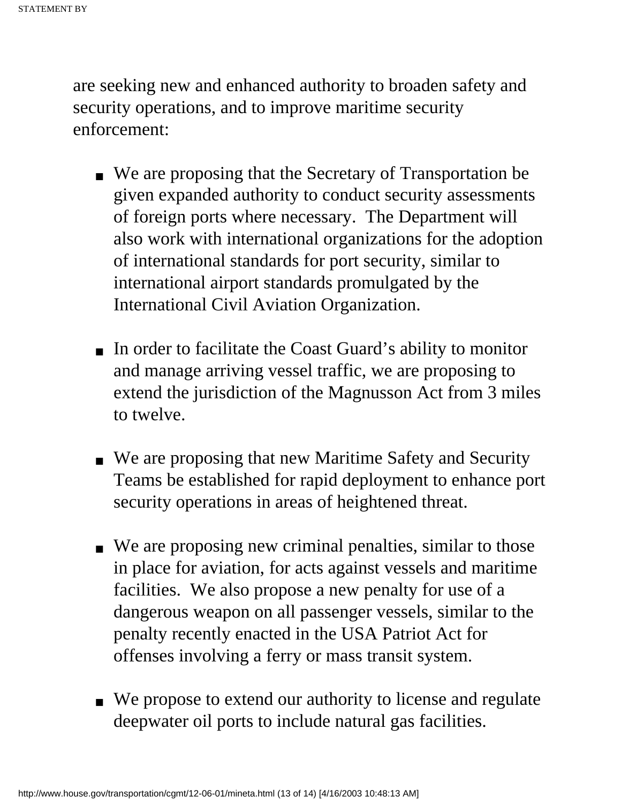are seeking new and enhanced authority to broaden safety and security operations, and to improve maritime security enforcement:

- We are proposing that the Secretary of Transportation be given expanded authority to conduct security assessments of foreign ports where necessary. The Department will also work with international organizations for the adoption of international standards for port security, similar to international airport standards promulgated by the International Civil Aviation Organization.
- In order to facilitate the Coast Guard's ability to monitor and manage arriving vessel traffic, we are proposing to extend the jurisdiction of the Magnusson Act from 3 miles to twelve.
- We are proposing that new Maritime Safety and Security Teams be established for rapid deployment to enhance port security operations in areas of heightened threat.
- We are proposing new criminal penalties, similar to those in place for aviation, for acts against vessels and maritime facilities. We also propose a new penalty for use of a dangerous weapon on all passenger vessels, similar to the penalty recently enacted in the USA Patriot Act for offenses involving a ferry or mass transit system.
- We propose to extend our authority to license and regulate deepwater oil ports to include natural gas facilities.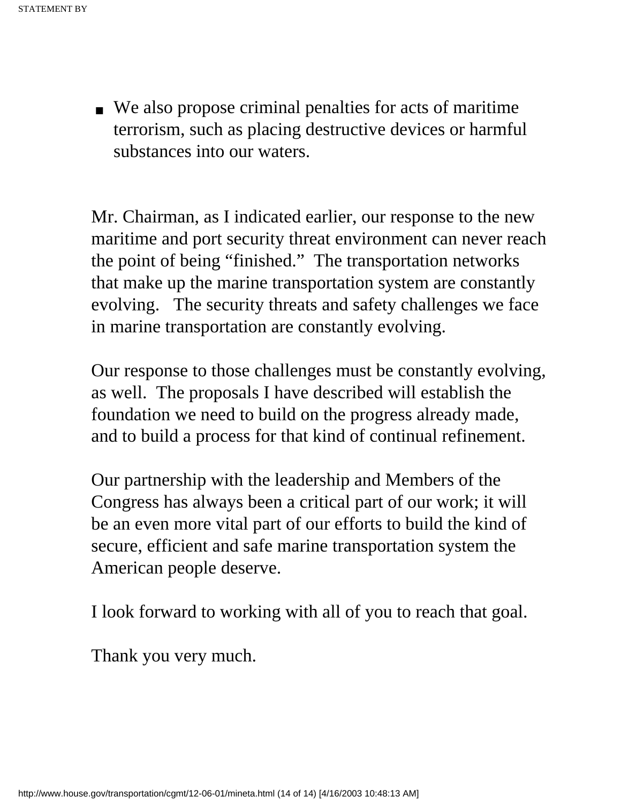■ We also propose criminal penalties for acts of maritime terrorism, such as placing destructive devices or harmful substances into our waters.

Mr. Chairman, as I indicated earlier, our response to the new maritime and port security threat environment can never reach the point of being "finished." The transportation networks that make up the marine transportation system are constantly evolving. The security threats and safety challenges we face in marine transportation are constantly evolving.

Our response to those challenges must be constantly evolving, as well. The proposals I have described will establish the foundation we need to build on the progress already made, and to build a process for that kind of continual refinement.

Our partnership with the leadership and Members of the Congress has always been a critical part of our work; it will be an even more vital part of our efforts to build the kind of secure, efficient and safe marine transportation system the American people deserve.

I look forward to working with all of you to reach that goal.

Thank you very much.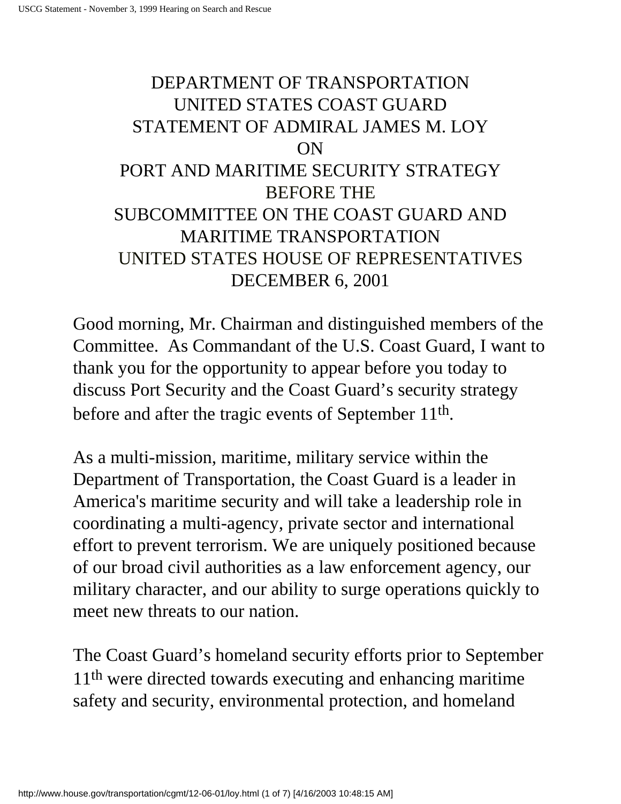# <span id="page-21-0"></span>DEPARTMENT OF TRANSPORTATION UNITED STATES COAST GUARD STATEMENT OF ADMIRAL JAMES M. LOY ON PORT AND MARITIME SECURITY STRATEGY BEFORE THE SUBCOMMITTEE ON THE COAST GUARD AND MARITIME TRANSPORTATION UNITED STATES HOUSE OF REPRESENTATIVES DECEMBER 6, 2001

Good morning, Mr. Chairman and distinguished members of the Committee. As Commandant of the U.S. Coast Guard, I want to thank you for the opportunity to appear before you today to discuss Port Security and the Coast Guard's security strategy before and after the tragic events of September 11th.

As a multi-mission, maritime, military service within the Department of Transportation, the Coast Guard is a leader in America's maritime security and will take a leadership role in coordinating a multi-agency, private sector and international effort to prevent terrorism. We are uniquely positioned because of our broad civil authorities as a law enforcement agency, our military character, and our ability to surge operations quickly to meet new threats to our nation.

The Coast Guard's homeland security efforts prior to September 11th were directed towards executing and enhancing maritime safety and security, environmental protection, and homeland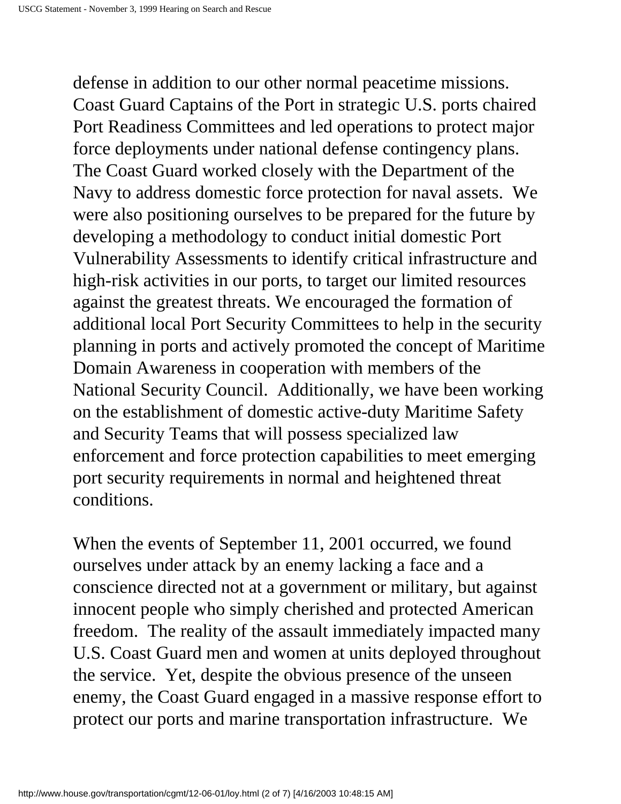defense in addition to our other normal peacetime missions. Coast Guard Captains of the Port in strategic U.S. ports chaired Port Readiness Committees and led operations to protect major force deployments under national defense contingency plans. The Coast Guard worked closely with the Department of the Navy to address domestic force protection for naval assets. We were also positioning ourselves to be prepared for the future by developing a methodology to conduct initial domestic Port Vulnerability Assessments to identify critical infrastructure and high-risk activities in our ports, to target our limited resources against the greatest threats. We encouraged the formation of additional local Port Security Committees to help in the security planning in ports and actively promoted the concept of Maritime Domain Awareness in cooperation with members of the National Security Council. Additionally, we have been working on the establishment of domestic active-duty Maritime Safety and Security Teams that will possess specialized law enforcement and force protection capabilities to meet emerging port security requirements in normal and heightened threat conditions.

When the events of September 11, 2001 occurred, we found ourselves under attack by an enemy lacking a face and a conscience directed not at a government or military, but against innocent people who simply cherished and protected American freedom. The reality of the assault immediately impacted many U.S. Coast Guard men and women at units deployed throughout the service. Yet, despite the obvious presence of the unseen enemy, the Coast Guard engaged in a massive response effort to protect our ports and marine transportation infrastructure. We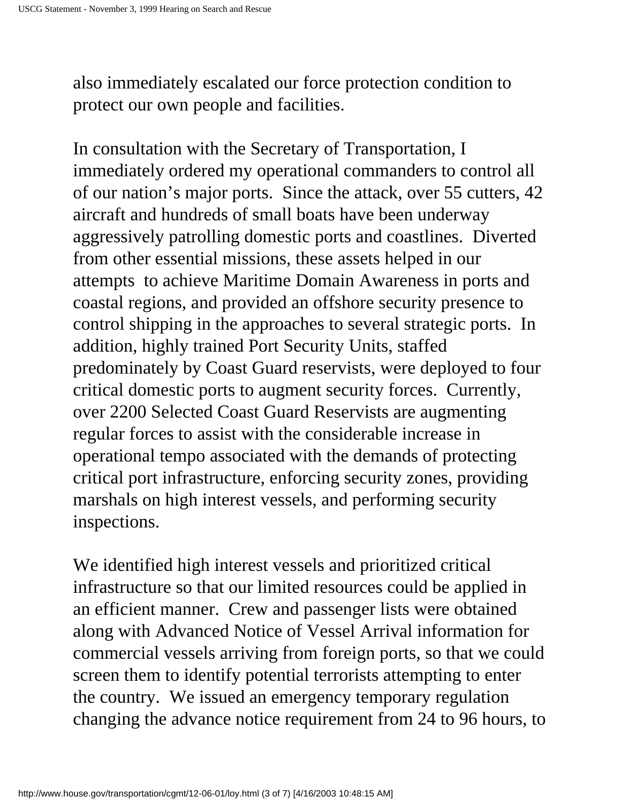also immediately escalated our force protection condition to protect our own people and facilities.

In consultation with the Secretary of Transportation, I immediately ordered my operational commanders to control all of our nation's major ports. Since the attack, over 55 cutters, 42 aircraft and hundreds of small boats have been underway aggressively patrolling domestic ports and coastlines. Diverted from other essential missions, these assets helped in our attempts to achieve Maritime Domain Awareness in ports and coastal regions, and provided an offshore security presence to control shipping in the approaches to several strategic ports. In addition, highly trained Port Security Units, staffed predominately by Coast Guard reservists, were deployed to four critical domestic ports to augment security forces. Currently, over 2200 Selected Coast Guard Reservists are augmenting regular forces to assist with the considerable increase in operational tempo associated with the demands of protecting critical port infrastructure, enforcing security zones, providing marshals on high interest vessels, and performing security inspections.

We identified high interest vessels and prioritized critical infrastructure so that our limited resources could be applied in an efficient manner. Crew and passenger lists were obtained along with Advanced Notice of Vessel Arrival information for commercial vessels arriving from foreign ports, so that we could screen them to identify potential terrorists attempting to enter the country. We issued an emergency temporary regulation changing the advance notice requirement from 24 to 96 hours, to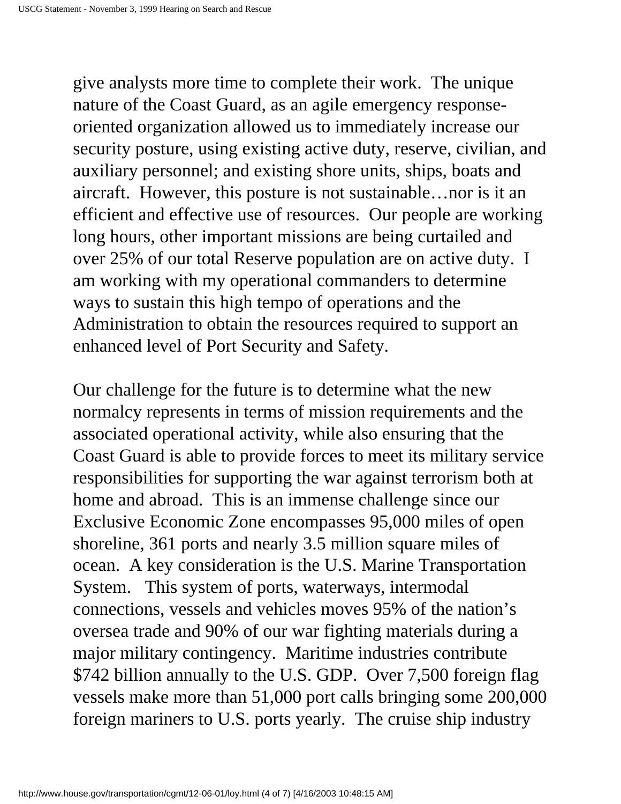give analysts more time to complete their work. The unique nature of the Coast Guard, as an agile emergency responseoriented organization allowed us to immediately increase our security posture, using existing active duty, reserve, civilian, and auxiliary personnel; and existing shore units, ships, boats and aircraft. However, this posture is not sustainable…nor is it an efficient and effective use of resources. Our people are working long hours, other important missions are being curtailed and over 25% of our total Reserve population are on active duty. I am working with my operational commanders to determine ways to sustain this high tempo of operations and the Administration to obtain the resources required to support an enhanced level of Port Security and Safety.

Our challenge for the future is to determine what the new normalcy represents in terms of mission requirements and the associated operational activity, while also ensuring that the Coast Guard is able to provide forces to meet its military service responsibilities for supporting the war against terrorism both at home and abroad. This is an immense challenge since our Exclusive Economic Zone encompasses 95,000 miles of open shoreline, 361 ports and nearly 3.5 million square miles of ocean. A key consideration is the U.S. Marine Transportation System. This system of ports, waterways, intermodal connections, vessels and vehicles moves 95% of the nation's oversea trade and 90% of our war fighting materials during a major military contingency. Maritime industries contribute \$742 billion annually to the U.S. GDP. Over 7,500 foreign flag vessels make more than 51,000 port calls bringing some 200,000 foreign mariners to U.S. ports yearly. The cruise ship industry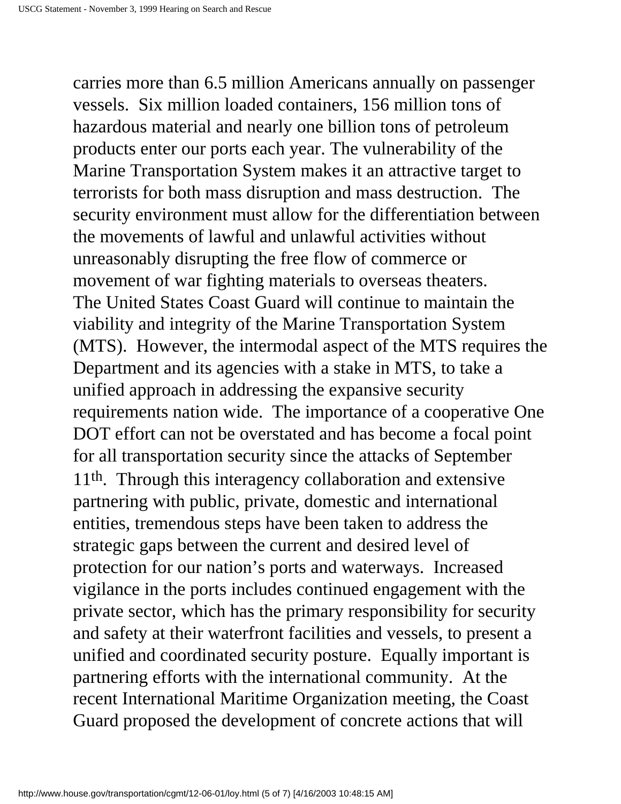carries more than 6.5 million Americans annually on passenger vessels. Six million loaded containers, 156 million tons of hazardous material and nearly one billion tons of petroleum products enter our ports each year. The vulnerability of the Marine Transportation System makes it an attractive target to terrorists for both mass disruption and mass destruction. The security environment must allow for the differentiation between the movements of lawful and unlawful activities without unreasonably disrupting the free flow of commerce or movement of war fighting materials to overseas theaters. The United States Coast Guard will continue to maintain the viability and integrity of the Marine Transportation System (MTS). However, the intermodal aspect of the MTS requires the Department and its agencies with a stake in MTS, to take a unified approach in addressing the expansive security requirements nation wide. The importance of a cooperative One DOT effort can not be overstated and has become a focal point for all transportation security since the attacks of September 11<sup>th</sup>. Through this interagency collaboration and extensive partnering with public, private, domestic and international entities, tremendous steps have been taken to address the strategic gaps between the current and desired level of protection for our nation's ports and waterways. Increased vigilance in the ports includes continued engagement with the private sector, which has the primary responsibility for security and safety at their waterfront facilities and vessels, to present a unified and coordinated security posture. Equally important is partnering efforts with the international community. At the recent International Maritime Organization meeting, the Coast Guard proposed the development of concrete actions that will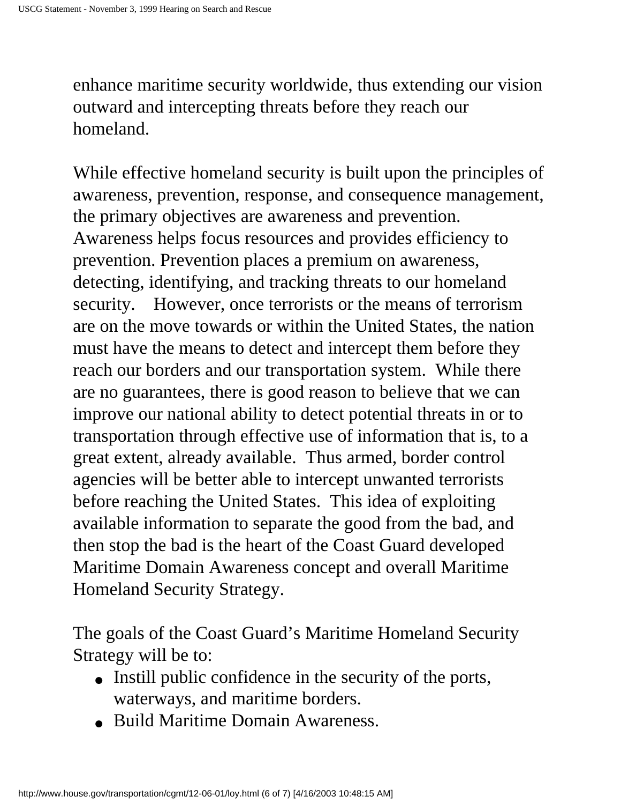enhance maritime security worldwide, thus extending our vision outward and intercepting threats before they reach our homeland.

While effective homeland security is built upon the principles of awareness, prevention, response, and consequence management, the primary objectives are awareness and prevention. Awareness helps focus resources and provides efficiency to prevention. Prevention places a premium on awareness, detecting, identifying, and tracking threats to our homeland security. However, once terrorists or the means of terrorism are on the move towards or within the United States, the nation must have the means to detect and intercept them before they reach our borders and our transportation system. While there are no guarantees, there is good reason to believe that we can improve our national ability to detect potential threats in or to transportation through effective use of information that is, to a great extent, already available. Thus armed, border control agencies will be better able to intercept unwanted terrorists before reaching the United States. This idea of exploiting available information to separate the good from the bad, and then stop the bad is the heart of the Coast Guard developed Maritime Domain Awareness concept and overall Maritime Homeland Security Strategy.

The goals of the Coast Guard's Maritime Homeland Security Strategy will be to:

- Instill public confidence in the security of the ports, waterways, and maritime borders.
- Build Maritime Domain Awareness.